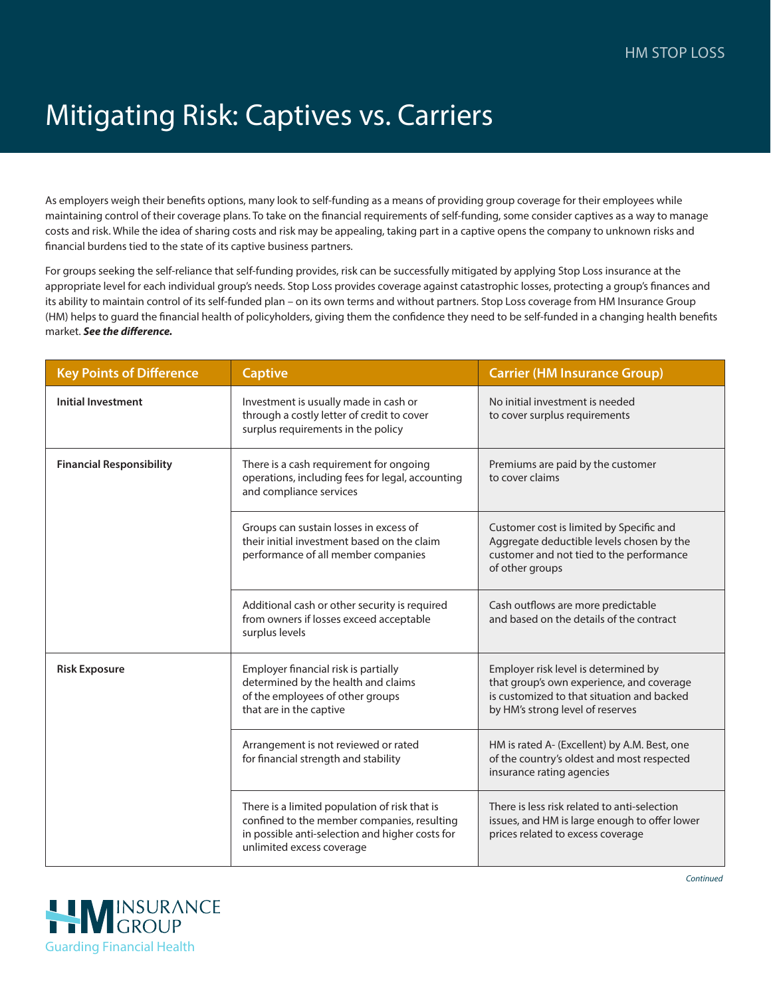## Mitigating Risk: Captives vs. Carriers

As employers weigh their benefits options, many look to self-funding as a means of providing group coverage for their employees while maintaining control of their coverage plans. To take on the financial requirements of self-funding, some consider captives as a way to manage costs and risk. While the idea of sharing costs and risk may be appealing, taking part in a captive opens the company to unknown risks and financial burdens tied to the state of its captive business partners.

For groups seeking the self-reliance that self-funding provides, risk can be successfully mitigated by applying Stop Loss insurance at the appropriate level for each individual group's needs. Stop Loss provides coverage against catastrophic losses, protecting a group's finances and its ability to maintain control of its self-funded plan – on its own terms and without partners. Stop Loss coverage from HM Insurance Group (HM) helps to guard the financial health of policyholders, giving them the confidence they need to be self-funded in a changing health benefits market. *See the difference.*

| <b>Key Points of Difference</b> | <b>Captive</b>                                                                                                                                                               | <b>Carrier (HM Insurance Group)</b>                                                                                                                                 |
|---------------------------------|------------------------------------------------------------------------------------------------------------------------------------------------------------------------------|---------------------------------------------------------------------------------------------------------------------------------------------------------------------|
| <b>Initial Investment</b>       | Investment is usually made in cash or<br>through a costly letter of credit to cover<br>surplus requirements in the policy                                                    | No initial investment is needed<br>to cover surplus requirements                                                                                                    |
| <b>Financial Responsibility</b> | There is a cash requirement for ongoing<br>operations, including fees for legal, accounting<br>and compliance services                                                       | Premiums are paid by the customer<br>to cover claims                                                                                                                |
|                                 | Groups can sustain losses in excess of<br>their initial investment based on the claim<br>performance of all member companies                                                 | Customer cost is limited by Specific and<br>Aggregate deductible levels chosen by the<br>customer and not tied to the performance<br>of other groups                |
|                                 | Additional cash or other security is required<br>from owners if losses exceed acceptable<br>surplus levels                                                                   | Cash outflows are more predictable<br>and based on the details of the contract                                                                                      |
| <b>Risk Exposure</b>            | Employer financial risk is partially<br>determined by the health and claims<br>of the employees of other groups<br>that are in the captive                                   | Employer risk level is determined by<br>that group's own experience, and coverage<br>is customized to that situation and backed<br>by HM's strong level of reserves |
|                                 | Arrangement is not reviewed or rated<br>for financial strength and stability                                                                                                 | HM is rated A- (Excellent) by A.M. Best, one<br>of the country's oldest and most respected<br>insurance rating agencies                                             |
|                                 | There is a limited population of risk that is<br>confined to the member companies, resulting<br>in possible anti-selection and higher costs for<br>unlimited excess coverage | There is less risk related to anti-selection<br>issues, and HM is large enough to offer lower<br>prices related to excess coverage                                  |



*Continued*